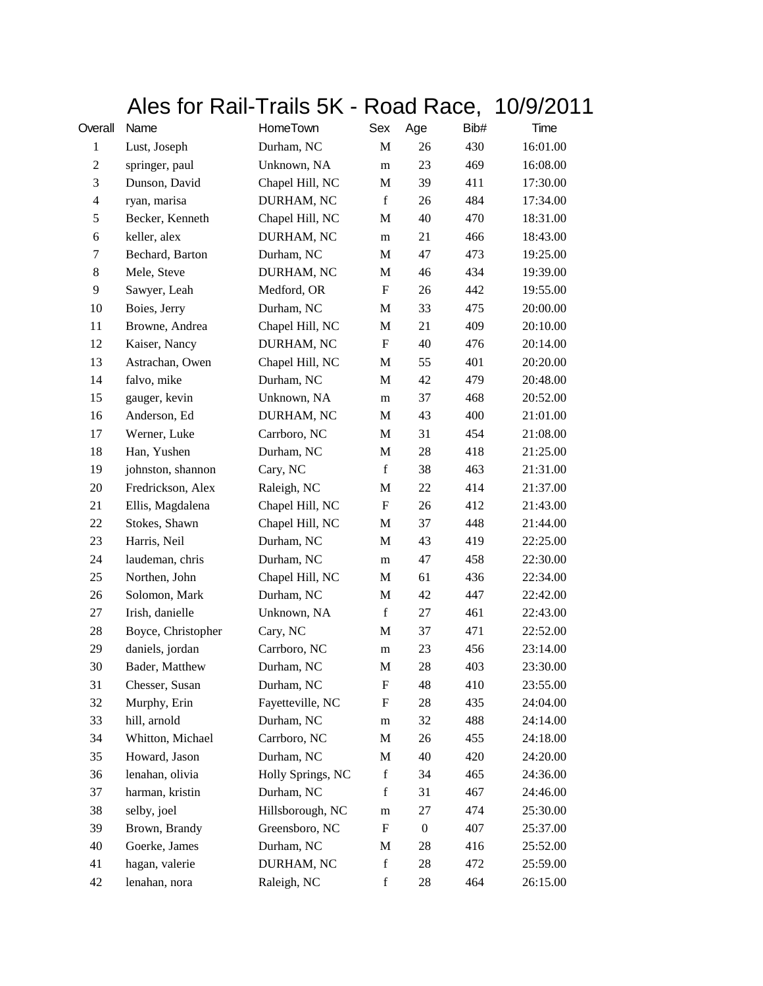## Ales for Rail-Trails 5K - Road Race, 10/9/2011

| Overall        | Name               | HomeTown          | Sex                       | Age              | Bib# | Time     |
|----------------|--------------------|-------------------|---------------------------|------------------|------|----------|
| 1              | Lust, Joseph       | Durham, NC        | M                         | 26               | 430  | 16:01.00 |
| $\overline{c}$ | springer, paul     | Unknown, NA       | m                         | 23               | 469  | 16:08.00 |
| 3              | Dunson, David      | Chapel Hill, NC   | M                         | 39               | 411  | 17:30.00 |
| 4              | ryan, marisa       | DURHAM, NC        | $\mathbf f$               | 26               | 484  | 17:34.00 |
| 5              | Becker, Kenneth    | Chapel Hill, NC   | M                         | 40               | 470  | 18:31.00 |
| 6              | keller, alex       | DURHAM, NC        | m                         | 21               | 466  | 18:43.00 |
| 7              | Bechard, Barton    | Durham, NC        | M                         | 47               | 473  | 19:25.00 |
| 8              | Mele, Steve        | DURHAM, NC        | M                         | 46               | 434  | 19:39.00 |
| 9              | Sawyer, Leah       | Medford, OR       | F                         | 26               | 442  | 19:55.00 |
| 10             | Boies, Jerry       | Durham, NC        | M                         | 33               | 475  | 20:00.00 |
| 11             | Browne, Andrea     | Chapel Hill, NC   | M                         | 21               | 409  | 20:10.00 |
| 12             | Kaiser, Nancy      | DURHAM, NC        | $\mathbf F$               | 40               | 476  | 20:14.00 |
| 13             | Astrachan, Owen    | Chapel Hill, NC   | M                         | 55               | 401  | 20:20.00 |
| 14             | falvo, mike        | Durham, NC        | M                         | 42               | 479  | 20:48.00 |
| 15             | gauger, kevin      | Unknown, NA       | m                         | 37               | 468  | 20:52.00 |
| 16             | Anderson, Ed       | DURHAM, NC        | M                         | 43               | 400  | 21:01.00 |
| 17             | Werner, Luke       | Carrboro, NC      | M                         | 31               | 454  | 21:08.00 |
| 18             | Han, Yushen        | Durham, NC        | M                         | 28               | 418  | 21:25.00 |
| 19             | johnston, shannon  | Cary, NC          | $\mathbf f$               | 38               | 463  | 21:31.00 |
| 20             | Fredrickson, Alex  | Raleigh, NC       | M                         | 22               | 414  | 21:37.00 |
| 21             | Ellis, Magdalena   | Chapel Hill, NC   | $\boldsymbol{\mathrm{F}}$ | 26               | 412  | 21:43.00 |
| 22             | Stokes, Shawn      | Chapel Hill, NC   | M                         | 37               | 448  | 21:44.00 |
| 23             | Harris, Neil       | Durham, NC        | M                         | 43               | 419  | 22:25.00 |
| 24             | laudeman, chris    | Durham, NC        | m                         | 47               | 458  | 22:30.00 |
| 25             | Northen, John      | Chapel Hill, NC   | М                         | 61               | 436  | 22:34.00 |
| 26             | Solomon, Mark      | Durham, NC        | M                         | 42               | 447  | 22:42.00 |
| 27             | Irish, danielle    | Unknown, NA       | $\mathbf f$               | 27               | 461  | 22:43.00 |
| 28             | Boyce, Christopher | Cary, NC          | M                         | 37               | 471  | 22:52.00 |
| 29             | daniels, jordan    | Carrboro, NC      | m                         | 23               | 456  | 23:14.00 |
| 30             | Bader, Matthew     | Durham, NC        | M                         | 28               | 403  | 23:30.00 |
| 31             | Chesser, Susan     | Durham, NC        | F                         | 48               | 410  | 23:55.00 |
| 32             | Murphy, Erin       | Fayetteville, NC  | F                         | 28               | 435  | 24:04.00 |
| 33             | hill, arnold       | Durham, NC        | ${\rm m}$                 | 32               | 488  | 24:14.00 |
| 34             | Whitton, Michael   | Carrboro, NC      | M                         | 26               | 455  | 24:18.00 |
| 35             | Howard, Jason      | Durham, NC        | М                         | 40               | 420  | 24:20.00 |
| 36             | lenahan, olivia    | Holly Springs, NC | $\mathbf f$               | 34               | 465  | 24:36.00 |
| 37             | harman, kristin    | Durham, NC        | f                         | 31               | 467  | 24:46.00 |
| 38             | selby, joel        | Hillsborough, NC  | ${\rm m}$                 | 27               | 474  | 25:30.00 |
| 39             | Brown, Brandy      | Greensboro, NC    | F                         | $\boldsymbol{0}$ | 407  | 25:37.00 |
| 40             | Goerke, James      | Durham, NC        | M                         | 28               | 416  | 25:52.00 |
| 41             | hagan, valerie     | DURHAM, NC        | $\mathbf f$               | 28               | 472  | 25:59.00 |
| 42             | lenahan, nora      | Raleigh, NC       | $\mathbf f$               | 28               | 464  | 26:15.00 |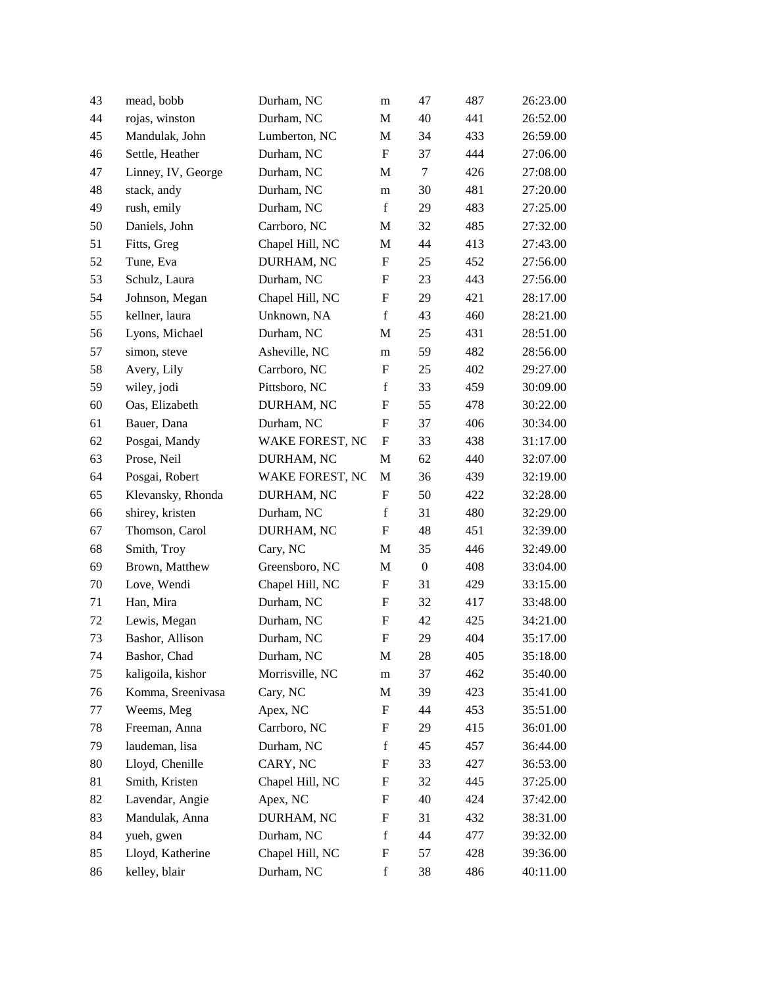| 43 | mead, bobb         | Durham, NC             | m                         | 47               | 487 | 26:23.00 |
|----|--------------------|------------------------|---------------------------|------------------|-----|----------|
| 44 | rojas, winston     | Durham, NC             | M                         | 40               | 441 | 26:52.00 |
| 45 | Mandulak, John     | Lumberton, NC          | M                         | 34               | 433 | 26:59.00 |
| 46 | Settle, Heather    | Durham, NC             | $\boldsymbol{\mathrm{F}}$ | 37               | 444 | 27:06.00 |
| 47 | Linney, IV, George | Durham, NC             | M                         | 7                | 426 | 27:08.00 |
| 48 | stack, andy        | Durham, NC             | m                         | 30               | 481 | 27:20.00 |
| 49 | rush, emily        | Durham, NC             | $\mathbf f$               | 29               | 483 | 27:25.00 |
| 50 | Daniels, John      | Carrboro, NC           | M                         | 32               | 485 | 27:32.00 |
| 51 | Fitts, Greg        | Chapel Hill, NC        | M                         | 44               | 413 | 27:43.00 |
| 52 | Tune, Eva          | DURHAM, NC             | ${\rm F}$                 | 25               | 452 | 27:56.00 |
| 53 | Schulz, Laura      | Durham, NC             | ${\rm F}$                 | 23               | 443 | 27:56.00 |
| 54 | Johnson, Megan     | Chapel Hill, NC        | F                         | 29               | 421 | 28:17.00 |
| 55 | kellner, laura     | Unknown, NA            | $\mathbf f$               | 43               | 460 | 28:21.00 |
| 56 | Lyons, Michael     | Durham, NC             | M                         | 25               | 431 | 28:51.00 |
| 57 | simon, steve       | Asheville, NC          | m                         | 59               | 482 | 28:56.00 |
| 58 | Avery, Lily        | Carrboro, NC           | F                         | 25               | 402 | 29:27.00 |
| 59 | wiley, jodi        | Pittsboro, NC          | $\mathbf f$               | 33               | 459 | 30:09.00 |
| 60 | Oas, Elizabeth     | DURHAM, NC             | F                         | 55               | 478 | 30:22.00 |
| 61 | Bauer, Dana        | Durham, NC             | ${\rm F}$                 | 37               | 406 | 30:34.00 |
| 62 | Posgai, Mandy      | <b>WAKE FOREST, NC</b> | F                         | 33               | 438 | 31:17.00 |
| 63 | Prose, Neil        | DURHAM, NC             | M                         | 62               | 440 | 32:07.00 |
| 64 | Posgai, Robert     | WAKE FOREST, NC        | M                         | 36               | 439 | 32:19.00 |
| 65 | Klevansky, Rhonda  | DURHAM, NC             | ${\rm F}$                 | 50               | 422 | 32:28.00 |
| 66 | shirey, kristen    | Durham, NC             | $\mathbf f$               | 31               | 480 | 32:29.00 |
| 67 | Thomson, Carol     | DURHAM, NC             | ${\rm F}$                 | 48               | 451 | 32:39.00 |
| 68 | Smith, Troy        | Cary, NC               | M                         | 35               | 446 | 32:49.00 |
| 69 | Brown, Matthew     | Greensboro, NC         | M                         | $\boldsymbol{0}$ | 408 | 33:04.00 |
| 70 | Love, Wendi        | Chapel Hill, NC        | ${\rm F}$                 | 31               | 429 | 33:15.00 |
| 71 | Han, Mira          | Durham, NC             | ${\rm F}$                 | 32               | 417 | 33:48.00 |
| 72 | Lewis, Megan       | Durham, NC             | ${\rm F}$                 | 42               | 425 | 34:21.00 |
| 73 | Bashor, Allison    | Durham, NC             | F                         | 29               | 404 | 35:17.00 |
| 74 | Bashor, Chad       | Durham, NC             | M                         | 28               | 405 | 35:18.00 |
| 75 | kaligoila, kishor  | Morrisville, NC        | m                         | 37               | 462 | 35:40.00 |
| 76 | Komma, Sreenivasa  | Cary, NC               | M                         | 39               | 423 | 35:41.00 |
| 77 | Weems, Meg         | Apex, NC               | ${\rm F}$                 | 44               | 453 | 35:51.00 |
| 78 | Freeman, Anna      | Carrboro, NC           | F                         | 29               | 415 | 36:01.00 |
| 79 | laudeman, lisa     | Durham, NC             | $\mathbf f$               | 45               | 457 | 36:44.00 |
| 80 | Lloyd, Chenille    | CARY, NC               | F                         | 33               | 427 | 36:53.00 |
| 81 | Smith, Kristen     | Chapel Hill, NC        | F                         | 32               | 445 | 37:25.00 |
| 82 | Lavendar, Angie    | Apex, NC               | F                         | 40               | 424 | 37:42.00 |
| 83 | Mandulak, Anna     | DURHAM, NC             | F                         | 31               | 432 | 38:31.00 |
| 84 | yueh, gwen         | Durham, NC             | $\mathbf f$               | 44               | 477 | 39:32.00 |
| 85 | Lloyd, Katherine   | Chapel Hill, NC        | F                         | 57               | 428 | 39:36.00 |
| 86 | kelley, blair      | Durham, NC             | $\mathbf f$               | 38               | 486 | 40:11.00 |